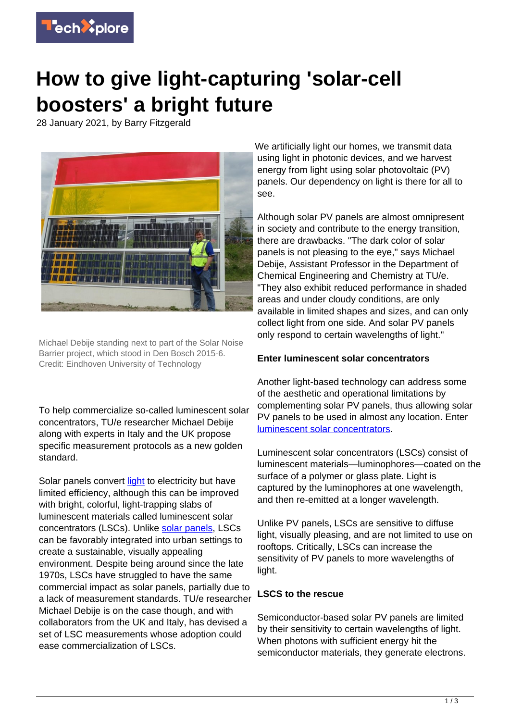

# **How to give light-capturing 'solar-cell boosters' a bright future**

28 January 2021, by Barry Fitzgerald



Michael Debije standing next to part of the Solar Noise Barrier project, which stood in Den Bosch 2015-6. Credit: Eindhoven University of Technology

To help commercialize so-called luminescent solar concentrators, TU/e researcher Michael Debije along with experts in Italy and the UK propose specific measurement protocols as a new golden standard.

Solar panels convert [light](https://techxplore.com/tags/light/) to electricity but have limited efficiency, although this can be improved with bright, colorful, light-trapping slabs of luminescent materials called luminescent solar concentrators (LSCs). Unlike [solar panels](https://techxplore.com/tags/solar+panels/), LSCs can be favorably integrated into urban settings to create a sustainable, visually appealing environment. Despite being around since the late 1970s, LSCs have struggled to have the same commercial impact as solar panels, partially due to a lack of measurement standards. TU/e researcher Michael Debije is on the case though, and with collaborators from the UK and Italy, has devised a set of LSC measurements whose adoption could ease commercialization of LSCs.

We artificially light our homes, we transmit data using light in photonic devices, and we harvest energy from light using solar photovoltaic (PV) panels. Our dependency on light is there for all to see.

Although solar PV panels are almost omnipresent in society and contribute to the energy transition, there are drawbacks. "The dark color of solar panels is not pleasing to the eye," says Michael Debije, Assistant Professor in the Department of Chemical Engineering and Chemistry at TU/e. "They also exhibit reduced performance in shaded areas and under cloudy conditions, are only available in limited shapes and sizes, and can only collect light from one side. And solar PV panels only respond to certain wavelengths of light."

## **Enter luminescent solar concentrators**

Another light-based technology can address some of the aesthetic and operational limitations by complementing solar PV panels, thus allowing solar PV panels to be used in almost any location. Enter [luminescent solar concentrators.](https://techxplore.com/tags/luminescent+solar+concentrators/)

Luminescent solar concentrators (LSCs) consist of luminescent materials—luminophores—coated on the surface of a polymer or glass plate. Light is captured by the luminophores at one wavelength, and then re-emitted at a longer wavelength.

Unlike PV panels, LSCs are sensitive to diffuse light, visually pleasing, and are not limited to use on rooftops. Critically, LSCs can increase the sensitivity of PV panels to more wavelengths of light.

#### **LSCS to the rescue**

Semiconductor-based solar PV panels are limited by their sensitivity to certain wavelengths of light. When photons with sufficient energy hit the semiconductor materials, they generate electrons.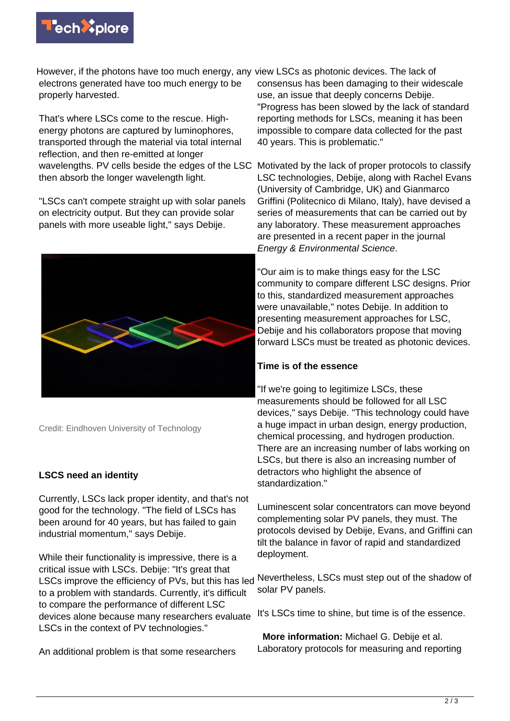

However, if the photons have too much energy, any view LSCs as photonic devices. The lack of electrons generated have too much energy to be properly harvested.

That's where LSCs come to the rescue. Highenergy photons are captured by luminophores, transported through the material via total internal reflection, and then re-emitted at longer wavelengths. PV cells beside the edges of the LSC Motivated by the lack of proper protocols to classify then absorb the longer wavelength light.

"LSCs can't compete straight up with solar panels on electricity output. But they can provide solar panels with more useable light," says Debije.



Credit: Eindhoven University of Technology

# **LSCS need an identity**

Currently, LSCs lack proper identity, and that's not good for the technology. "The field of LSCs has been around for 40 years, but has failed to gain industrial momentum," says Debije.

While their functionality is impressive, there is a critical issue with LSCs. Debije: "It's great that LSCs improve the efficiency of PVs, but this has led to a problem with standards. Currently, it's difficult to compare the performance of different LSC devices alone because many researchers evaluate LSCs in the context of PV technologies."

An additional problem is that some researchers

consensus has been damaging to their widescale use, an issue that deeply concerns Debije. "Progress has been slowed by the lack of standard reporting methods for LSCs, meaning it has been impossible to compare data collected for the past 40 years. This is problematic."

LSC technologies, Debije, along with Rachel Evans (University of Cambridge, UK) and Gianmarco Griffini (Politecnico di Milano, Italy), have devised a series of measurements that can be carried out by any laboratory. These measurement approaches are presented in a recent paper in the journal Energy & Environmental Science.

"Our aim is to make things easy for the LSC community to compare different LSC designs. Prior to this, standardized measurement approaches were unavailable," notes Debije. In addition to presenting measurement approaches for LSC, Debije and his collaborators propose that moving forward LSCs must be treated as photonic devices.

### **Time is of the essence**

"If we're going to legitimize LSCs, these measurements should be followed for all LSC devices," says Debije. "This technology could have a huge impact in urban design, energy production, chemical processing, and hydrogen production. There are an increasing number of labs working on LSCs, but there is also an increasing number of detractors who highlight the absence of standardization."

Luminescent solar concentrators can move beyond complementing solar PV panels, they must. The protocols devised by Debije, Evans, and Griffini can tilt the balance in favor of rapid and standardized deployment.

Nevertheless, LSCs must step out of the shadow of solar PV panels.

It's LSCs time to shine, but time is of the essence.

 **More information:** Michael G. Debije et al. Laboratory protocols for measuring and reporting